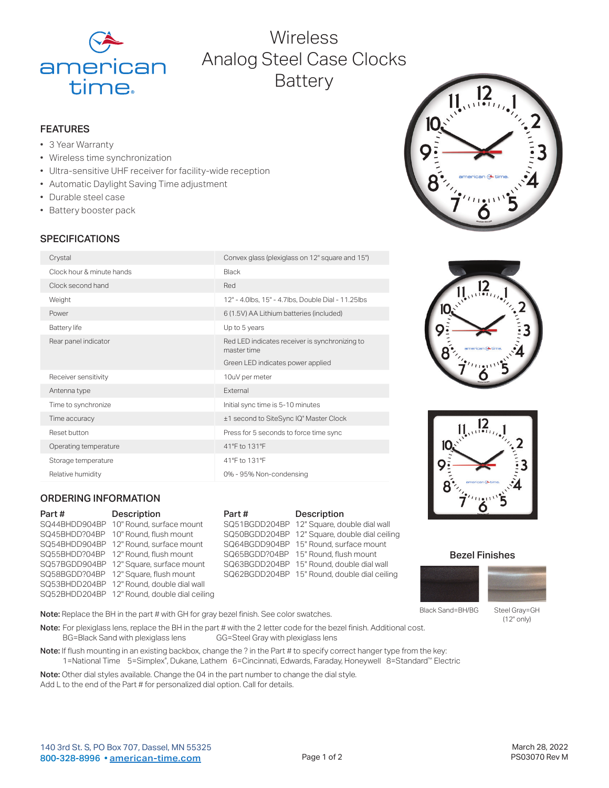

# Wireless Analog Steel Case Clocks **Battery**

## FEATURES

- 3 Year Warranty
- Wireless time synchronization
- Ultra-sensitive UHF receiver for facility-wide reception
- Automatic Daylight Saving Time adjustment
- Durable steel case
- Battery booster pack

# **SPECIFICATIONS**

| Crystal                   | Convex glass (plexiglass on 12" square and 15")               |
|---------------------------|---------------------------------------------------------------|
| Clock hour & minute hands | Black                                                         |
| Clock second hand         | Red                                                           |
| Weight                    | 12" - 4.0lbs, 15" - 4.7lbs, Double Dial - 11.25lbs            |
| Power                     | 6 (1.5V) AA Lithium batteries (included)                      |
| <b>Battery</b> life       | Up to 5 years                                                 |
| Rear panel indicator      | Red LED indicates receiver is synchronizing to<br>master time |
|                           | Green LED indicates power applied                             |
| Receiver sensitivity      | 10uV per meter                                                |
| Antenna type              | External                                                      |
| Time to synchronize       | Initial sync time is 5-10 minutes                             |
| Time accuracy             | ±1 second to SiteSync IQ° Master Clock                        |
| Reset button              | Press for 5 seconds to force time sync                        |
| Operating temperature     | 41°F to 131°F                                                 |
| Storage temperature       | 41°F to 131°F                                                 |
| Relative humidity         | 0% - 95% Non-condensing                                       |

# ORDERING INFORMATION

| <b>Description</b>                           |
|----------------------------------------------|
| 10" Round, surface mount<br>SQ44BHDD904BP    |
| 10" Round, flush mount                       |
| 12" Round, surface mount                     |
| 12" Round, flush mount                       |
| 12" Square, surface mount                    |
| 12" Square, flush mount                      |
| 12" Round, double dial wall<br>SQ53BHDD204BP |
| SQ52BHDD204BP 12" Round, double dial ceiling |
|                                              |

#### Part # Description SQ51BGDD204BP 12" Square, double dial wall SQ50BGDD204BP 12" Square, double dial ceiling SQ64BGDD904BP 15" Round, surface mount SQ65BGDD?04BP 15" Round, flush mount SQ63BGDD204BP 15" Round, double dial wall SQ62BGDD204BP 15" Round, double dial ceiling







## Bezel Finishes



Black Sand=BH/BG

Steel Gray=GH (12" only)

Note: Replace the BH in the part # with GH for gray bezel finish. See color swatches.

Note: For plexiglass lens, replace the BH in the part # with the 2 letter code for the bezel finish. Additional cost.<br>BG=Black Sand with plexiglass lens GG=Steel Gray with plexiglass lens BG=Black Sand with plexiglass lens

Note: If flush mounting in an existing backbox, change the ? in the Part # to specify correct hanger type from the key: 1=National Time 5=Simplex® , Dukane, Lathem 6=Cincinnati, Edwards, Faraday, Honeywell 8=Standard™ Electric

Note: Other dial styles available. Change the 04 in the part number to change the dial style. Add L to the end of the Part # for personalized dial option. Call for details.